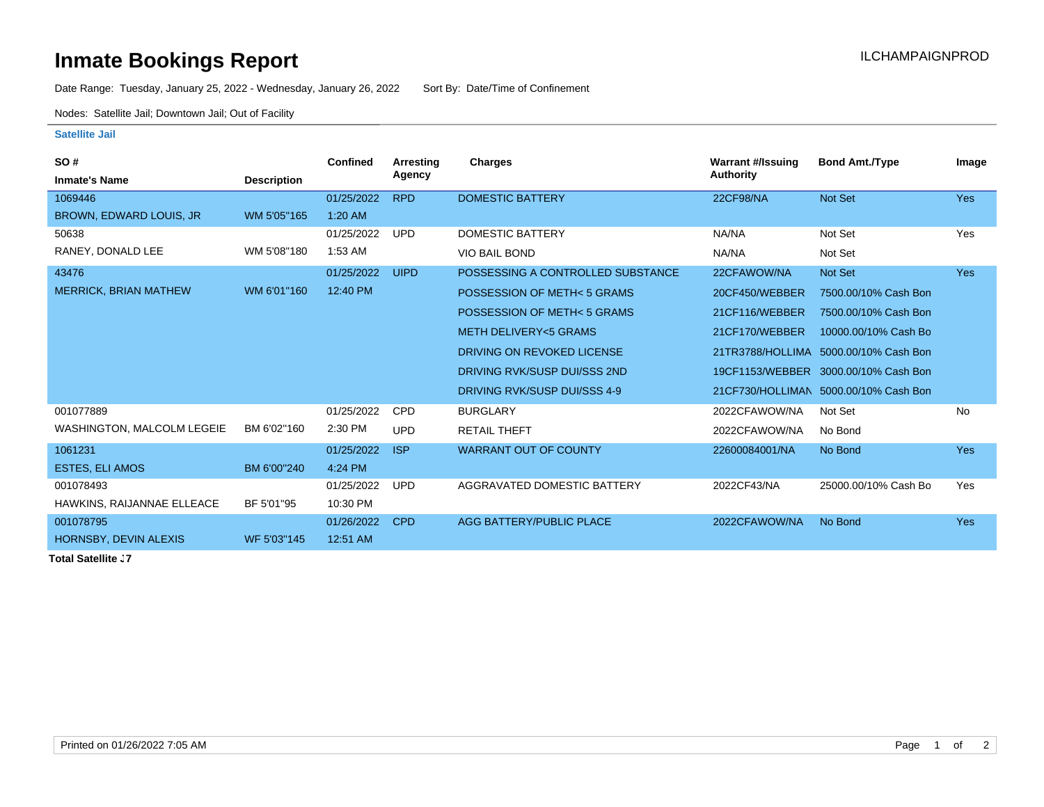## **Inmate Bookings Report Installation ILCHAMPAIGNPROD**

Date Range: Tuesday, January 25, 2022 - Wednesday, January 26, 2022 Sort By: Date/Time of Confinement

Nodes: Satellite Jail; Downtown Jail; Out of Facility

## **Satellite Jail**

| <b>SO#</b>                   |                    | <b>Confined</b> | Arresting   | <b>Charges</b>                    | <b>Warrant #/Issuing</b> | <b>Bond Amt./Type</b>                 | Image      |
|------------------------------|--------------------|-----------------|-------------|-----------------------------------|--------------------------|---------------------------------------|------------|
| <b>Inmate's Name</b>         | <b>Description</b> |                 | Agency      |                                   | Authority                |                                       |            |
| 1069446                      |                    | 01/25/2022      | <b>RPD</b>  | <b>DOMESTIC BATTERY</b>           | <b>22CF98/NA</b>         | Not Set                               | <b>Yes</b> |
| BROWN, EDWARD LOUIS, JR      | WM 5'05"165        | 1:20 AM         |             |                                   |                          |                                       |            |
| 50638                        |                    | 01/25/2022      | <b>UPD</b>  | DOMESTIC BATTERY                  | NA/NA                    | Not Set                               | Yes        |
| RANEY, DONALD LEE            | WM 5'08"180        | 1:53 AM         |             | <b>VIO BAIL BOND</b>              | NA/NA                    | Not Set                               |            |
| 43476                        |                    | 01/25/2022      | <b>UIPD</b> | POSSESSING A CONTROLLED SUBSTANCE | 22CFAWOW/NA              | Not Set                               | <b>Yes</b> |
| <b>MERRICK, BRIAN MATHEW</b> | WM 6'01"160        | 12:40 PM        |             | POSSESSION OF METH< 5 GRAMS       | 20CF450/WEBBER           | 7500.00/10% Cash Bon                  |            |
|                              |                    |                 |             | POSSESSION OF METH< 5 GRAMS       | 21CF116/WEBBER           | 7500.00/10% Cash Bon                  |            |
|                              |                    |                 |             | <b>METH DELIVERY &lt;5 GRAMS</b>  | 21CF170/WEBBER           | 10000.00/10% Cash Bo                  |            |
|                              |                    |                 |             | DRIVING ON REVOKED LICENSE        |                          | 21TR3788/HOLLIMA 5000.00/10% Cash Bon |            |
|                              |                    |                 |             | DRIVING RVK/SUSP DUI/SSS 2ND      | 19CF1153/WEBBER          | 3000.00/10% Cash Bon                  |            |
|                              |                    |                 |             | DRIVING RVK/SUSP DUI/SSS 4-9      |                          | 21CF730/HOLLIMAN 5000.00/10% Cash Bon |            |
| 001077889                    |                    | 01/25/2022      | <b>CPD</b>  | <b>BURGLARY</b>                   | 2022CFAWOW/NA            | Not Set                               | <b>No</b>  |
| WASHINGTON, MALCOLM LEGEIE   | BM 6'02"160        | 2:30 PM         | <b>UPD</b>  | <b>RETAIL THEFT</b>               | 2022CFAWOW/NA            | No Bond                               |            |
| 1061231                      |                    | 01/25/2022      | <b>ISP</b>  | <b>WARRANT OUT OF COUNTY</b>      | 22600084001/NA           | No Bond                               | <b>Yes</b> |
| <b>ESTES, ELI AMOS</b>       | BM 6'00"240        | 4:24 PM         |             |                                   |                          |                                       |            |
| 001078493                    |                    | 01/25/2022      | <b>UPD</b>  | AGGRAVATED DOMESTIC BATTERY       | 2022CF43/NA              | 25000.00/10% Cash Bo                  | Yes        |
| HAWKINS, RAIJANNAE ELLEACE   | BF 5'01"95         | 10:30 PM        |             |                                   |                          |                                       |            |
| 001078795                    |                    | 01/26/2022      | <b>CPD</b>  | AGG BATTERY/PUBLIC PLACE          | 2022CFAWOW/NA            | No Bond                               | <b>Yes</b> |
| HORNSBY, DEVIN ALEXIS        | WF 5'03"145        | 12:51 AM        |             |                                   |                          |                                       |            |

**Total Satellite J7**